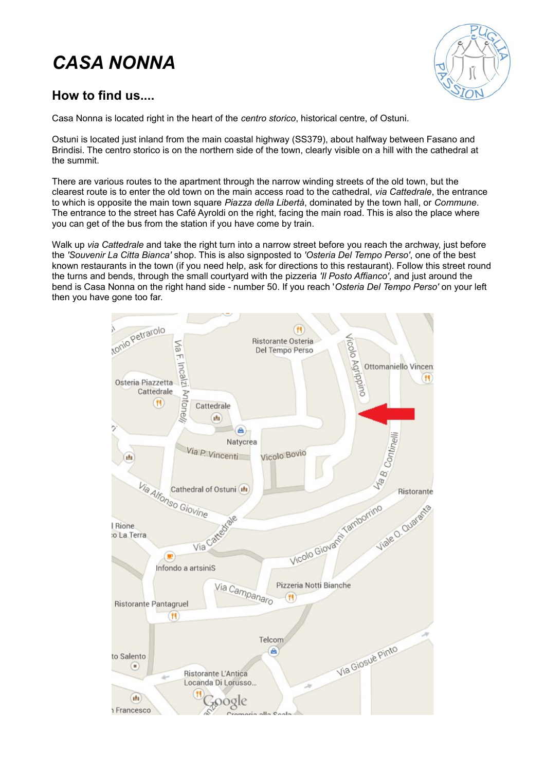# *CASA NONNA*



#### **How to find us....**

Casa Nonna is located right in the heart of the *centro storico*, historical centre, of Ostuni.

Ostuni is located just inland from the main coastal highway (SS379), about halfway between Fasano and Brindisi. The centro storico is on the northern side of the town, clearly visible on a hill with the cathedral at the summit.

There are various routes to the apartment through the narrow winding streets of the old town, but the clearest route is to enter the old town on the main access road to the cathedral, *via Cattedrale*, the entrance to which is opposite the main town square *Piazza della Libertà*, dominated by the town hall, or *Commune*. The entrance to the street has Café Ayroldi on the right, facing the main road. This is also the place where you can get of the bus from the station if you have come by train.

Walk up *via Cattedrale* and take the right turn into a narrow street before you reach the archway, just before the *'Souvenir La Citta Bianca'* shop. This is also signposted to *'Osteria Del Tempo Perso'*, one of the best known restaurants in the town (if you need help, ask for directions to this restaurant). Follow this street round the turns and bends, through the small courtyard with the pizzeria *'Il Posto Affianco'*, and just around the bend is Casa Nonna on the right hand side - number 50. If you reach '*Osteria Del Tempo Perso'* on your left then you have gone too far.